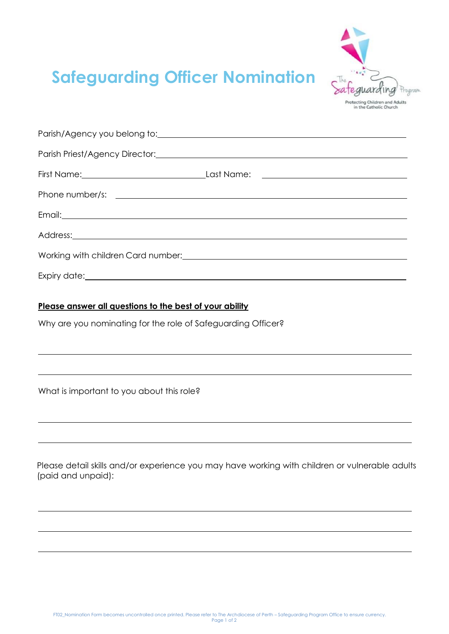

## **Safeguarding Officer Nomination**

| Address: <u>Address:</u> Address: Address: Address: Address: Address: Address: Address: Address: Address: Address: Address: Address: Address: Address: Address: Address: Address: Address: Address: Address: Address: Address: Addr |                                                                                                                                                                                                                                |
|-------------------------------------------------------------------------------------------------------------------------------------------------------------------------------------------------------------------------------------|--------------------------------------------------------------------------------------------------------------------------------------------------------------------------------------------------------------------------------|
|                                                                                                                                                                                                                                     | Working with children Card number: North Care and Care and Care and Care and Care and Care and Care and Care and Care and Care and Care and Care and Care and Care and Care and Care and Care and Care and Care and Care and C |
|                                                                                                                                                                                                                                     |                                                                                                                                                                                                                                |

## **Please answer all questions to the best of your ability**

Why are you nominating for the role of Safeguarding Officer?

What is important to you about this role?

Please detail skills and/or experience you may have working with children or vulnerable adults (paid and unpaid):